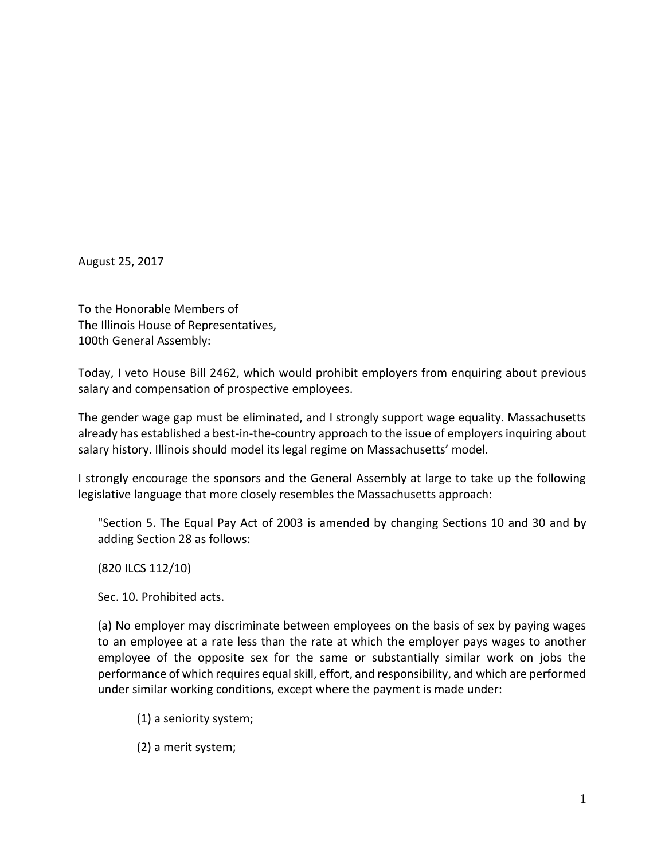August 25, 2017

To the Honorable Members of The Illinois House of Representatives, 100th General Assembly:

Today, I veto House Bill 2462, which would prohibit employers from enquiring about previous salary and compensation of prospective employees.

The gender wage gap must be eliminated, and I strongly support wage equality. Massachusetts already has established a best-in-the-country approach to the issue of employers inquiring about salary history. Illinois should model its legal regime on Massachusetts' model.

I strongly encourage the sponsors and the General Assembly at large to take up the following legislative language that more closely resembles the Massachusetts approach:

"Section 5. The Equal Pay Act of 2003 is amended by changing Sections 10 and 30 and by adding Section 28 as follows:

(820 ILCS 112/10)

Sec. 10. Prohibited acts.

(a) No employer may discriminate between employees on the basis of sex by paying wages to an employee at a rate less than the rate at which the employer pays wages to another employee of the opposite sex for the same or substantially similar work on jobs the performance of which requires equal skill, effort, and responsibility, and which are performed under similar working conditions, except where the payment is made under:

- (1) a seniority system;
- (2) a merit system;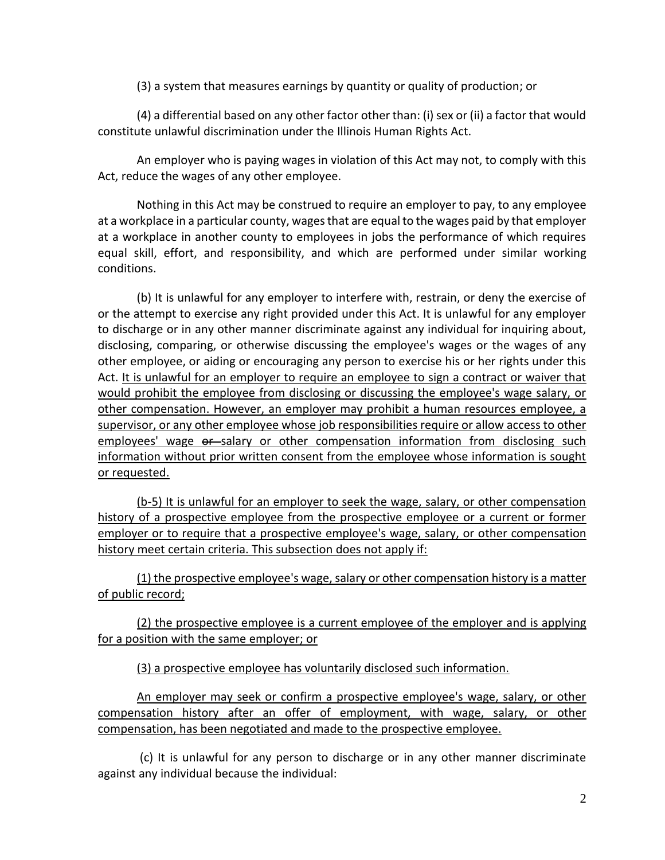(3) a system that measures earnings by quantity or quality of production; or

(4) a differential based on any other factor other than: (i) sex or (ii) a factor that would constitute unlawful discrimination under the Illinois Human Rights Act.

An employer who is paying wages in violation of this Act may not, to comply with this Act, reduce the wages of any other employee.

Nothing in this Act may be construed to require an employer to pay, to any employee at a workplace in a particular county, wages that are equal to the wages paid by that employer at a workplace in another county to employees in jobs the performance of which requires equal skill, effort, and responsibility, and which are performed under similar working conditions.

(b) It is unlawful for any employer to interfere with, restrain, or deny the exercise of or the attempt to exercise any right provided under this Act. It is unlawful for any employer to discharge or in any other manner discriminate against any individual for inquiring about, disclosing, comparing, or otherwise discussing the employee's wages or the wages of any other employee, or aiding or encouraging any person to exercise his or her rights under this Act. It is unlawful for an employer to require an employee to sign a contract or waiver that would prohibit the employee from disclosing or discussing the employee's wage salary, or other compensation. However, an employer may prohibit a human resources employee, a supervisor, or any other employee whose job responsibilities require or allow access to other employees' wage  $\theta$ -salary or other compensation information from disclosing such information without prior written consent from the employee whose information is sought or requested.

(b-5) It is unlawful for an employer to seek the wage, salary, or other compensation history of a prospective employee from the prospective employee or a current or former employer or to require that a prospective employee's wage, salary, or other compensation history meet certain criteria. This subsection does not apply if:

(1) the prospective employee's wage, salary or other compensation history is a matter of public record;

(2) the prospective employee is a current employee of the employer and is applying for a position with the same employer; or

(3) a prospective employee has voluntarily disclosed such information.

An employer may seek or confirm a prospective employee's wage, salary, or other compensation history after an offer of employment, with wage, salary, or other compensation, has been negotiated and made to the prospective employee.

(c) It is unlawful for any person to discharge or in any other manner discriminate against any individual because the individual: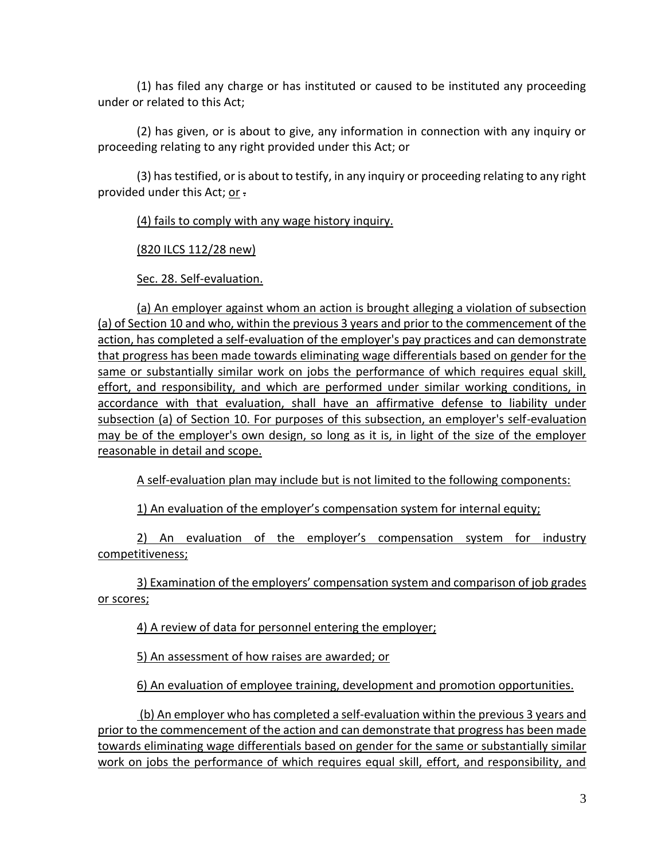(1) has filed any charge or has instituted or caused to be instituted any proceeding under or related to this Act;

(2) has given, or is about to give, any information in connection with any inquiry or proceeding relating to any right provided under this Act; or

(3) has testified, or is about to testify, in any inquiry or proceeding relating to any right provided under this Act; or .

(4) fails to comply with any wage history inquiry.

(820 ILCS 112/28 new)

Sec. 28. Self-evaluation.

(a) An employer against whom an action is brought alleging a violation of subsection (a) of Section 10 and who, within the previous 3 years and prior to the commencement of the action, has completed a self-evaluation of the employer's pay practices and can demonstrate that progress has been made towards eliminating wage differentials based on gender for the same or substantially similar work on jobs the performance of which requires equal skill, effort, and responsibility, and which are performed under similar working conditions, in accordance with that evaluation, shall have an affirmative defense to liability under subsection (a) of Section 10. For purposes of this subsection, an employer's self-evaluation may be of the employer's own design, so long as it is, in light of the size of the employer reasonable in detail and scope.

A self-evaluation plan may include but is not limited to the following components:

1) An evaluation of the employer's compensation system for internal equity;

2) An evaluation of the employer's compensation system for industry competitiveness;

3) Examination of the employers' compensation system and comparison of job grades or scores;

4) A review of data for personnel entering the employer;

5) An assessment of how raises are awarded; or

6) An evaluation of employee training, development and promotion opportunities.

(b) An employer who has completed a self-evaluation within the previous 3 years and prior to the commencement of the action and can demonstrate that progress has been made towards eliminating wage differentials based on gender for the same or substantially similar work on jobs the performance of which requires equal skill, effort, and responsibility, and